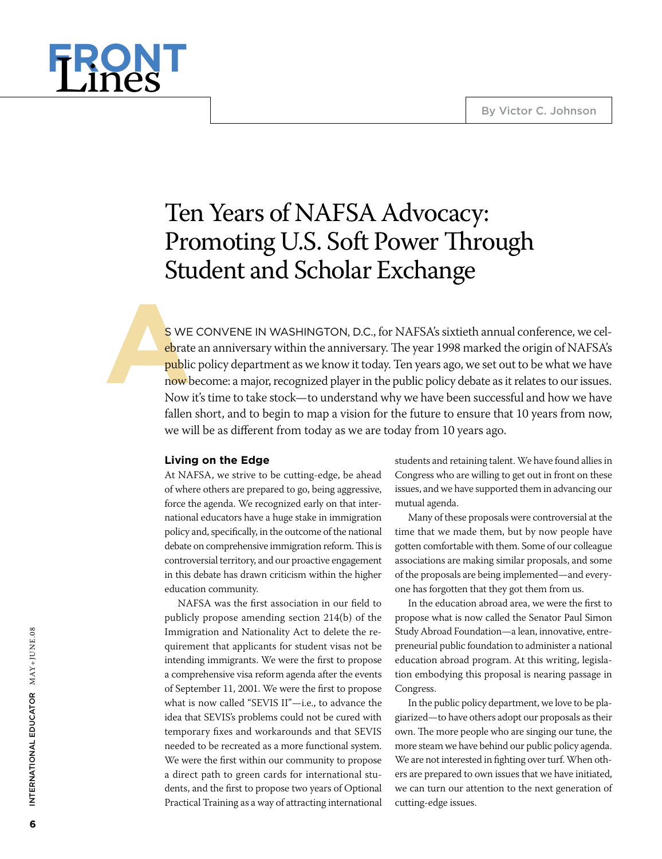

# Ten Years of NAFSA Advocacy: Promoting U.S. Soft Power Through Student and Scholar Exchange

**As WE CONVENE IN WASHINGTON, D.C., for NAFSA's sixtieth annual conference, we celebrate an anniversary within the anniversary. The year 1998 marked the origin of NAFSA's public policy department as we know it today. Ten y** ebrate an anniversary within the anniversary. The year 1998 marked the origin of NAFSA's public policy department as we know it today. Ten years ago, we set out to be what we have now become: a major, recognized player in the public policy debate as it relates to our issues. Now it's time to take stock—to understand why we have been successful and how we have fallen short, and to begin to map a vision for the future to ensure that 10 years from now, we will be as different from today as we are today from 10 years ago.

## **Living on the Edge**

At NAFSA, we strive to be cutting-edge, be ahead of where others are prepared to go, being aggressive, force the agenda. We recognized early on that international educators have a huge stake in immigration policy and, specifically, in the outcome of the national debate on comprehensive immigration reform. This is controversial territory, and our proactive engagement in this debate has drawn criticism within the higher education community.

NAFSA was the first association in our field to publicly propose amending section 214(b) of the Immigration and Nationality Act to delete the requirement that applicants for student visas not be intending immigrants. We were the first to propose a comprehensive visa reform agenda after the events of September 11, 2001. We were the first to propose what is now called "SEVIS II"—i.e., to advance the idea that SEVIS's problems could not be cured with temporary fixes and workarounds and that SEVIS needed to be recreated as a more functional system. We were the first within our community to propose a direct path to green cards for international students, and the first to propose two years of Optional Practical Training as a way of attracting international students and retaining talent. We have found allies in Congress who are willing to get out in front on these issues, and we have supported them in advancing our mutual agenda.

Many of these proposals were controversial at the time that we made them, but by now people have gotten comfortable with them. Some of our colleague associations are making similar proposals, and some of the proposals are being implemented—and everyone has forgotten that they got them from us.

In the education abroad area, we were the first to propose what is now called the Senator Paul Simon Study Abroad Foundation—a lean, innovative, entrepreneurial public foundation to administer a national education abroad program. At this writing, legislation embodying this proposal is nearing passage in Congress.

In the public policy department, we love to be plagiarized—to have others adopt our proposals as their own. The more people who are singing our tune, the more steam we have behind our public policy agenda. We are not interested in fighting over turf. When others are prepared to own issues that we have initiated, we can turn our attention to the next generation of cutting-edge issues.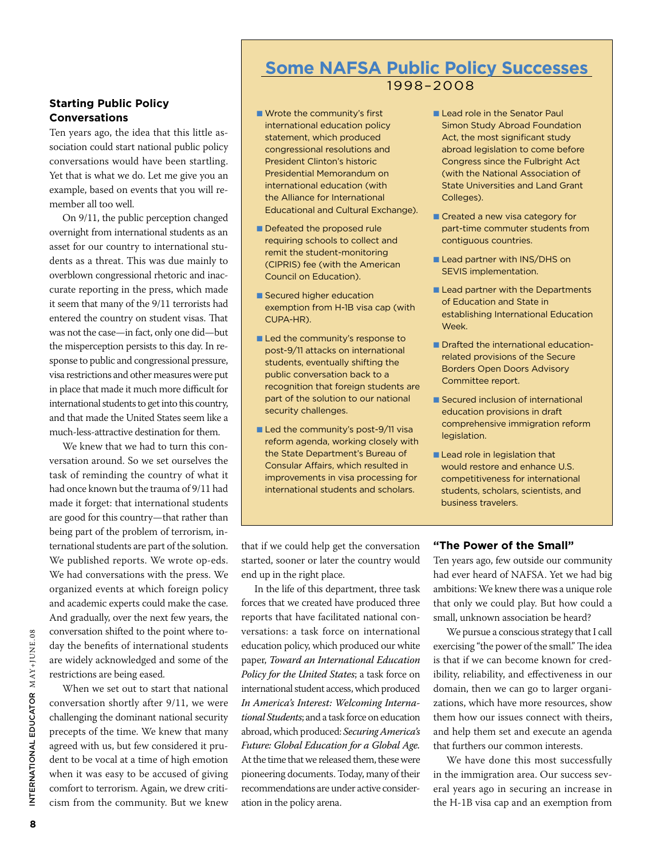## **Starting Public Policy Conversations**

Ten years ago, the idea that this little association could start national public policy conversations would have been startling. Yet that is what we do. Let me give you an example, based on events that you will remember all too well.

On 9/11, the public perception changed overnight from international students as an asset for our country to international students as a threat. This was due mainly to overblown congressional rhetoric and inaccurate reporting in the press, which made it seem that many of the 9/11 terrorists had entered the country on student visas. That was not the case—in fact, only one did—but the misperception persists to this day. In response to public and congressional pressure, visa restrictions and other measures were put in place that made it much more difficult for international students to get into this country, and that made the United States seem like a much-less-attractive destination for them.

We knew that we had to turn this conversation around. So we set ourselves the task of reminding the country of what it had once known but the trauma of 9/11 had made it forget: that international students are good for this country—that rather than being part of the problem of terrorism, international students are part of the solution. We published reports. We wrote op-eds. We had conversations with the press. We organized events at which foreign policy and academic experts could make the case. And gradually, over the next few years, the conversation shifted to the point where today the benefits of international students are widely acknowledged and some of the restrictions are being eased.

When we set out to start that national conversation shortly after 9/11, we were challenging the dominant national security precepts of the time. We knew that many agreed with us, but few considered it prudent to be vocal at a time of high emotion when it was easy to be accused of giving comfort to terrorism. Again, we drew criticism from the community. But we knew

# **Some NAFSA Public Policy Successes** 1998–2008

- Wrote the community's first international education policy statement, which produced congressional resolutions and President Clinton's historic Presidential Memorandum on international education (with the Alliance for International Educational and Cultural Exchange).
- Defeated the proposed rule requiring schools to collect and remit the student-monitoring (CIPRIS) fee (with the American Council on Education).
- Secured higher education exemption from H-1B visa cap (with CUPA-HR).
- **n** Led the community's response to post-9/11 attacks on international students, eventually shifting the public conversation back to a recognition that foreign students are part of the solution to our national security challenges.
- Led the community's post-9/11 visa reform agenda, working closely with the State Department's Bureau of Consular Affairs, which resulted in improvements in visa processing for international students and scholars.
- **Lead role in the Senator Paul** Simon Study Abroad Foundation Act, the most significant study abroad legislation to come before Congress since the Fulbright Act (with the National Association of State Universities and Land Grant Colleges).
- $\blacksquare$  Created a new visa category for part-time commuter students from contiguous countries.
- **Lead partner with INS/DHS on** SEVIS implementation.
- Lead partner with the Departments of Education and State in establishing International Education Week.
- **n** Drafted the international educationrelated provisions of the Secure Borders Open Doors Advisory Committee report.
- Secured inclusion of international education provisions in draft comprehensive immigration reform legislation.
- **Lead role in legislation that** would restore and enhance U.S. competitiveness for international students, scholars, scientists, and business travelers.

that if we could help get the conversation started, sooner or later the country would end up in the right place.

In the life of this department, three task forces that we created have produced three reports that have facilitated national conversations: a task force on international education policy, which produced our white paper, *Toward an International Education Policy for the United States*; a task force on international student access, which produced *In America's Interest: Welcoming International Students*; and a task force on education abroad, which produced: *Securing America's Future: Global Education for a Global Age.* At the time that we released them, these were pioneering documents. Today, many of their recommendations are under active consideration in the policy arena.

#### **"The Power of the Small"**

Ten years ago, few outside our community had ever heard of NAFSA. Yet we had big ambitions: We knew there was a unique role that only we could play. But how could a small, unknown association be heard?

We pursue a conscious strategy that I call exercising "the power of the small." The idea is that if we can become known for credibility, reliability, and effectiveness in our domain, then we can go to larger organizations, which have more resources, show them how our issues connect with theirs, and help them set and execute an agenda that furthers our common interests.

We have done this most successfully in the immigration area. Our success several years ago in securing an increase in the H-1B visa cap and an exemption from